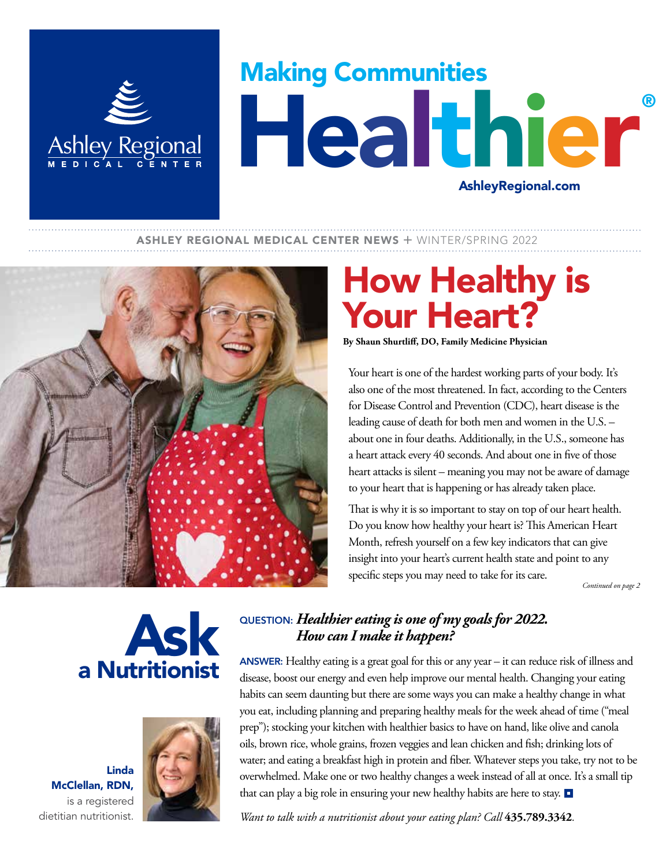

# Making Communities Healthier® AshleyRegional.com

#### **ASHLEY REGIONAL MEDICAL CENTER NEWS + WINTER/SPRING 2022**



## How Healthy is Your Heart?

**By Shaun Shurtliff, DO, Family Medicine Physician**

Your heart is one of the hardest working parts of your body. It's also one of the most threatened. In fact, according to the Centers for Disease Control and Prevention (CDC), heart disease is the leading cause of death for both men and women in the U.S. – about one in four deaths. Additionally, in the U.S., someone has a heart attack every 40 seconds. And about one in five of those heart attacks is silent – meaning you may not be aware of damage to your heart that is happening or has already taken place.

That is why it is so important to stay on top of our heart health. Do you know how healthy your heart is? This American Heart Month, refresh yourself on a few key indicators that can give insight into your heart's current health state and point to any specific steps you may need to take for its care.

 *Continued on page 2*

## Ask a Nutritionist

Linda McClellan, RDN, is a registered dietitian nutritionist.



#### QUESTION: *Healthier eating is one of my goals for 2022. How can I make it happen?*

ANSWER: Healthy eating is a great goal for this or any year – it can reduce risk of illness and disease, boost our energy and even help improve our mental health. Changing your eating habits can seem daunting but there are some ways you can make a healthy change in what you eat, including planning and preparing healthy meals for the week ahead of time ("meal prep"); stocking your kitchen with healthier basics to have on hand, like olive and canola oils, brown rice, whole grains, frozen veggies and lean chicken and fish; drinking lots of water; and eating a breakfast high in protein and fiber. Whatever steps you take, try not to be overwhelmed. Make one or two healthy changes a week instead of all at once. It's a small tip that can play a big role in ensuring your new healthy habits are here to stay.  $\Box$ 

*Want to talk with a nutritionist about your eating plan? Call* **435.789.3342***.*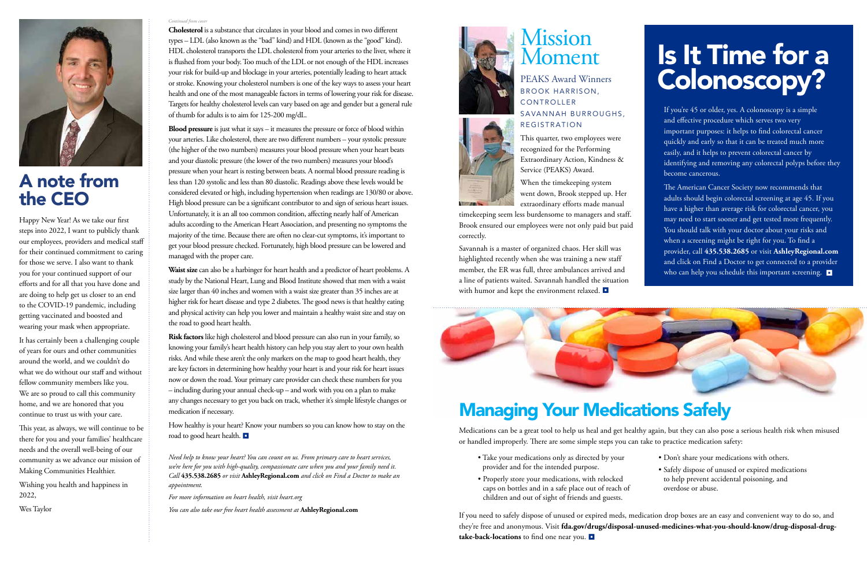

### A note from the CEO

Happy New Year! As we take our first steps into 2022, I want to publicly thank our employees, providers and medical staff for their continued commitment to caring for those we serve. I also want to thank you for your continued support of our efforts and for all that you have done and are doing to help get us closer to an end to the COVID-19 pandemic, including getting vaccinated and boosted and wearing your mask when appropriate.

It has certainly been a challenging couple of years for ours and other communities around the world, and we couldn't do what we do without our staff and without fellow community members like you. We are so proud to call this community home, and we are honored that you continue to trust us with your care.

This year, as always, we will continue to be there for you and your families' healthcare needs and the overall well-being of our community as we advance our mission of Making Communities Healthier.

Wishing you health and happiness in 2022,

Wes Taylor

**Cholesterol** is a substance that circulates in your blood and comes in two different types – LDL (also known as the "bad" kind) and HDL (known as the "good" kind). HDL cholesterol transports the LDL cholesterol from your arteries to the liver, where it is flushed from your body. Too much of the LDL or not enough of the HDL increases your risk for build-up and blockage in your arteries, potentially leading to heart attack or stroke. Knowing your cholesterol numbers is one of the key ways to assess your heart health and one of the most manageable factors in terms of lowering your risk for disease. Targets for healthy cholesterol levels can vary based on age and gender but a general rule of thumb for adults is to aim for 125-200 mg/dL.

**Blood pressure** is just what it says – it measures the pressure or force of blood within your arteries. Like cholesterol, there are two different numbers – your systolic pressure (the higher of the two numbers) measures your blood pressure when your heart beats and your diastolic pressure (the lower of the two numbers) measures your blood's pressure when your heart is resting between beats. A normal blood pressure reading is less than 120 systolic and less than 80 diastolic. Readings above these levels would be considered elevated or high, including hypertension when readings are 130/80 or above. High blood pressure can be a significant contributor to and sign of serious heart issues. Unfortunately, it is an all too common condition, affecting nearly half of American adults according to the American Heart Association, and presenting no symptoms the majority of the time. Because there are often no clear-cut symptoms, it's important to get your blood pressure checked. Fortunately, high blood pressure can be lowered and managed with the proper care.

Savannah is a master of organized chaos. Her skill was highlighted recently when she was training a new staff member, the ER was full, three ambulances arrived and a line of patients waited. Savannah handled the situation with humor and kept the environment relaxed.  $\blacksquare$ 



The American Cancer Society now recommends that adults should begin colorectal screening at age 45. If you have a higher than average risk for colorectal cancer, you may need to start sooner and get tested more frequently. You should talk with your doctor about your risks and when a screening might be right for you. To find a provider, call **435.538.2685** or visit **AshleyRegional.com** and click on Find a Doctor to get connected to a provider who can help you schedule this important screening.

**Waist size** can also be a harbinger for heart health and a predictor of heart problems. A study by the National Heart, Lung and Blood Institute showed that men with a waist size larger than 40 inches and women with a waist size greater than 35 inches are at higher risk for heart disease and type 2 diabetes. The good news is that healthy eating and physical activity can help you lower and maintain a healthy waist size and stay on the road to good heart health.

**Risk factors** like high cholesterol and blood pressure can also run in your family, so knowing your family's heart health history can help you stay alert to your own health risks. And while these aren't the only markers on the map to good heart health, they are key factors in determining how healthy your heart is and your risk for heart issues now or down the road. Your primary care provider can check these numbers for you – including during your annual check-up – and work with you on a plan to make any changes necessary to get you back on track, whether it's simple lifestyle changes or medication if necessary.

How healthy is your heart? Know your numbers so you can know how to stay on the road to good heart health.

*Need help to know your heart? You can count on us. From primary care to heart services, we're here for you with high-quality, compassionate care when you and your family need it. Call* **435.538.2685** *or visit* **AshleyRegional.com** *and click on Find a Doctor to make an appointment.* 

*For more information on heart health, visit heart.org*

*You can also take our free heart health assessment at* **AshleyRegional.com**



#### *Continued from cover*

### Mission Moment

PEAKS Award Winners BROOK HARRISON, CONTROLLER SAVANNAH BURROUGHS, REGISTRATION



This quarter, two employees were recognized for the Performing Extraordinary Action, Kindness & Service (PEAKS) Award.

When the timekeeping system went down, Brook stepped up. Her extraordinary efforts made manual

timekeeping seem less burdensome to managers and staff. Brook ensured our employees were not only paid but paid correctly.

# Is It Time for a Colonoscopy?

If you're 45 or older, yes. A colonoscopy is a simple and effective procedure which serves two very important purposes: it helps to find colorectal cancer quickly and early so that it can be treated much more easily, and it helps to prevent colorectal cancer by identifying and removing any colorectal polyps before they become cancerous.

### Managing Your Medications Safely

Medications can be a great tool to help us heal and get healthy again, but they can also pose a serious health risk when misused or handled improperly. There are some simple steps you can take to practice medication safety:

If you need to safely dispose of unused or expired meds, medication drop boxes are an easy and convenient way to do so, and they're free and anonymous. Visit **fda.gov/drugs/disposal-unused-medicines-what-you-should-know/drug-disposal-drugtake-back-locations** to find one near you.

- Take your medications only as directed by your provider and for the intended purpose.
- Properly store your medications, with relocked caps on bottles and in a safe place out of reach of children and out of sight of friends and guests.
- Don't share your medications with others.
- Safely dispose of unused or expired medications to help prevent accidental poisoning, and overdose or abuse.